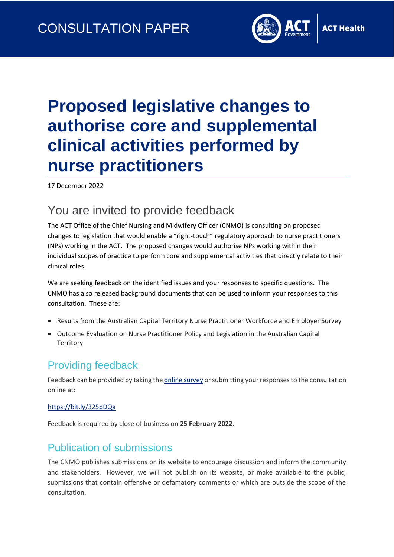

# **Proposed legislative changes to authorise core and supplemental clinical activities performed by nurse practitioners**

17 December 2022

### You are invited to provide feedback

The ACT Office of the Chief Nursing and Midwifery Officer (CNMO) is consulting on proposed changes to legislation that would enable a "right-touch" regulatory approach to nurse practitioners (NPs) working in the ACT. The proposed changes would authorise NPs working within their individual scopes of practice to perform core and supplemental activities that directly relate to their clinical roles.

We are seeking feedback on the identified issues and your responses to specific questions. The CNMO has also released background documents that can be used to inform your responses to this consultation. These are:

- Results from the Australian Capital Territory Nurse Practitioner Workforce and Employer Survey
- Outcome Evaluation on Nurse Practitioner Policy and Legislation in the Australian Capital **Territory**

#### Providing feedback

Feedback can be provided by taking th[e online survey](https://www.surveymonkey.com/r/N7WMDWJ) or submitting your responses to the consultation online at:

#### [https://bit.ly/325bDQa](https://www.surveymonkey.com/r/N7WMDWJ)

Feedback is required by close of business on **25 February 2022**.

#### Publication of submissions

The CNMO publishes submissions on its website to encourage discussion and inform the community and stakeholders. However, we will not publish on its website, or make available to the public, submissions that contain offensive or defamatory comments or which are outside the scope of the consultation.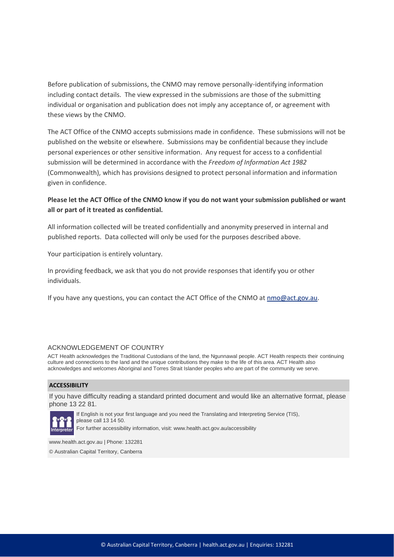Before publication of submissions, the CNMO may remove personally-identifying information including contact details. The view expressed in the submissions are those of the submitting individual or organisation and publication does not imply any acceptance of, or agreement with these views by the CNMO.

The ACT Office of the CNMO accepts submissions made in confidence. These submissions will not be published on the website or elsewhere. Submissions may be confidential because they include personal experiences or other sensitive information. Any request for access to a confidential submission will be determined in accordance with the *Freedom of Information Act 1982*  (Commonwealth), which has provisions designed to protect personal information and information given in confidence.

#### **Please let the ACT Office of the CNMO know if you do not want your submission published or want all or part of it treated as confidential.**

All information collected will be treated confidentially and anonymity preserved in internal and published reports. Data collected will only be used for the purposes described above.

Your participation is entirely voluntary.

In providing feedback, we ask that you do not provide responses that identify you or other individuals.

If you have any questions, you can contact the ACT Office of the CNMO at [nmo@act.gov.au.](mailto:nmo@act.gov.au)

#### ACKNOWLEDGEMENT OF COUNTRY

ACT Health acknowledges the Traditional Custodians of the land, the Ngunnawal people. ACT Health respects their continuing culture and connections to the land and the unique contributions they make to the life of this area. ACT Health also acknowledges and welcomes Aboriginal and Torres Strait Islander peoples who are part of the community we serve.

#### **ACCESSIBILITY**

If you have difficulty reading a standard printed document and would like an alternative format, please phone 13 22 81.



If English is not your first language and you need the Translating and Interpreting Service (TIS), please call 13 14 50.

For further accessibility information, visit: www.health.act.gov.au/accessibility

www.health.act.gov.au | Phone: 132281

© Australian Capital Territory, Canberra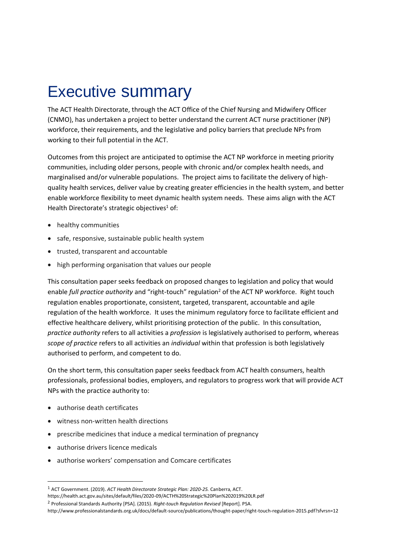## Executive summary

The ACT Health Directorate, through the ACT Office of the Chief Nursing and Midwifery Officer (CNMO), has undertaken a project to better understand the current ACT nurse practitioner (NP) workforce, their requirements, and the legislative and policy barriers that preclude NPs from working to their full potential in the ACT.

Outcomes from this project are anticipated to optimise the ACT NP workforce in meeting priority communities, including older persons, people with chronic and/or complex health needs, and marginalised and/or vulnerable populations. The project aims to facilitate the delivery of highquality health services, deliver value by creating greater efficiencies in the health system, and better enable workforce flexibility to meet dynamic health system needs. These aims align with the ACT Health Directorate's strategic objectives $1$  of:

- healthy communities
- safe, responsive, sustainable public health system
- trusted, transparent and accountable
- high performing organisation that values our people

This consultation paper seeks feedback on proposed changes to legislation and policy that would enable *full practice authority* and "right-touch" regulation<sup>2</sup> of the ACT NP workforce. Right touch regulation enables proportionate, consistent, targeted, transparent, accountable and agile regulation of the health workforce. It uses the minimum regulatory force to facilitate efficient and effective healthcare delivery, whilst prioritising protection of the public. In this consultation, *practice authority* refers to all activities a *profession* is legislatively authorised to perform, whereas *scope of practice* refers to all activities an *individual* within that profession is both legislatively authorised to perform, and competent to do.

On the short term, this consultation paper seeks feedback from ACT health consumers, health professionals, professional bodies, employers, and regulators to progress work that will provide ACT NPs with the practice authority to:

- authorise death certificates
- witness non-written health directions
- prescribe medicines that induce a medical termination of pregnancy
- authorise drivers licence medicals
- authorise workers' compensation and Comcare certificates

<sup>2</sup> Professional Standards Authority [PSA]. (2015). *Right-touch Regulation Revised* [Report]. PSA.

<sup>1</sup> ACT Government. (2019). *ACT Health Directorate Strategic Plan: 2020-25.* Canberra, ACT.

https://health.act.gov.au/sites/default/files/2020-09/ACTH%20Strategic%20Plan%202019%20LR.pdf

http://www.professionalstandards.org.uk/docs/default-source/publications/thought-paper/right-touch-regulation-2015.pdf?sfvrsn=12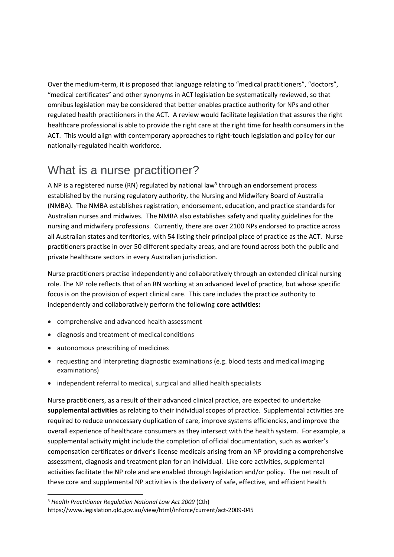Over the medium-term, it is proposed that language relating to "medical practitioners", "doctors", "medical certificates" and other synonyms in ACT legislation be systematically reviewed, so that omnibus legislation may be considered that better enables practice authority for NPs and other regulated health practitioners in the ACT. A review would facilitate legislation that assures the right healthcare professional is able to provide the right care at the right time for health consumers in the ACT. This would align with contemporary approaches to right-touch legislation and policy for our nationally-regulated health workforce.

### What is a nurse practitioner?

A NP is a registered nurse (RN) regulated by national law<sup>3</sup> through an endorsement process established by the nursing regulatory authority, the Nursing and Midwifery Board of Australia (NMBA). The NMBA establishes registration, endorsement, education, and practice standards for Australian nurses and midwives. The NMBA also establishes safety and quality guidelines for the nursing and midwifery professions. Currently, there are over 2100 NPs endorsed to practice across all Australian states and territories, with 54 listing their principal place of practice as the ACT. Nurse practitioners practise in over 50 different specialty areas, and are found across both the public and private healthcare sectors in every Australian jurisdiction.

Nurse practitioners practise independently and collaboratively through an extended clinical nursing role. The NP role reflects that of an RN working at an advanced level of practice, but whose specific focus is on the provision of expert clinical care. This care includes the practice authority to independently and collaboratively perform the following **core activities:**

- comprehensive and advanced health assessment
- diagnosis and treatment of medical conditions
- autonomous prescribing of medicines
- requesting and interpreting diagnostic examinations (e.g. blood tests and medical imaging examinations)
- independent referral to medical, surgical and allied health specialists

Nurse practitioners, as a result of their advanced clinical practice, are expected to undertake **supplemental activities** as relating to their individual scopes of practice. Supplemental activities are required to reduce unnecessary duplication of care, improve systems efficiencies, and improve the overall experience of healthcare consumers as they intersect with the health system. For example, a supplemental activity might include the completion of official documentation, such as worker's compensation certificates or driver's license medicals arising from an NP providing a comprehensive assessment, diagnosis and treatment plan for an individual. Like core activities, supplemental activities facilitate the NP role and are enabled through legislation and/or policy. The net result of these core and supplemental NP activities is the delivery of safe, effective, and efficient health

<sup>3</sup> *Health Practitioner Regulation National Law Act 2009* (Cth)

https://www.legislation.qld.gov.au/view/html/inforce/current/act-2009-045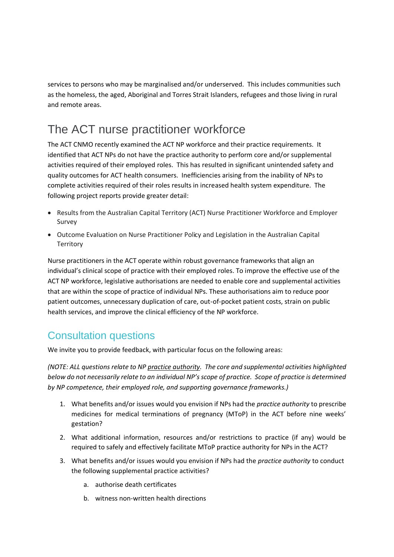services to persons who may be marginalised and/or underserved. This includes communities such as the homeless, the aged, Aboriginal and Torres Strait Islanders, refugees and those living in rural and remote areas.

## The ACT nurse practitioner workforce

The ACT CNMO recently examined the ACT NP workforce and their practice requirements. It identified that ACT NPs do not have the practice authority to perform core and/or supplemental activities required of their employed roles. This has resulted in significant unintended safety and quality outcomes for ACT health consumers. Inefficiencies arising from the inability of NPs to complete activities required of their roles results in increased health system expenditure. The following project reports provide greater detail:

- Results from the Australian Capital Territory (ACT) Nurse Practitioner Workforce and Employer Survey
- Outcome Evaluation on Nurse Practitioner Policy and Legislation in the Australian Capital **Territory**

Nurse practitioners in the ACT operate within robust governance frameworks that align an individual's clinical scope of practice with their employed roles. To improve the effective use of the ACT NP workforce, legislative authorisations are needed to enable core and supplemental activities that are within the scope of practice of individual NPs. These authorisations aim to reduce poor patient outcomes, unnecessary duplication of care, out-of-pocket patient costs, strain on public health services, and improve the clinical efficiency of the NP workforce.

#### Consultation questions

We invite you to provide feedback, with particular focus on the following areas:

*(NOTE: ALL questions relate to NP practice authority. The core and supplemental activities highlighted below do not necessarily relate to an individual NP's scope of practice. Scope of practice is determined by NP competence, their employed role, and supporting governance frameworks.)*

- 1. What benefits and/or issues would you envision if NPs had the *practice authority* to prescribe medicines for medical terminations of pregnancy (MToP) in the ACT before nine weeks' gestation?
- 2. What additional information, resources and/or restrictions to practice (if any) would be required to safely and effectively facilitate MToP practice authority for NPs in the ACT?
- 3. What benefits and/or issues would you envision if NPs had the *practice authority* to conduct the following supplemental practice activities?
	- a. authorise death certificates
	- b. witness non-written health directions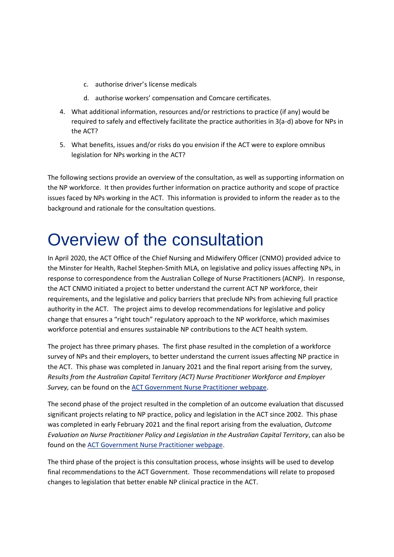- c. authorise driver's license medicals
- d. authorise workers' compensation and Comcare certificates.
- 4. What additional information, resources and/or restrictions to practice (if any) would be required to safely and effectively facilitate the practice authorities in 3(a-d) above for NPs in the ACT?
- 5. What benefits, issues and/or risks do you envision if the ACT were to explore omnibus legislation for NPs working in the ACT?

The following sections provide an overview of the consultation, as well as supporting information on the NP workforce. It then provides further information on practice authority and scope of practice issues faced by NPs working in the ACT. This information is provided to inform the reader as to the background and rationale for the consultation questions.

# Overview of the consultation

In April 2020, the ACT Office of the Chief Nursing and Midwifery Officer (CNMO) provided advice to the Minster for Health, Rachel Stephen-Smith MLA, on legislative and policy issues affecting NPs, in response to correspondence from the Australian College of Nurse Practitioners (ACNP). In response, the ACT CNMO initiated a project to better understand the current ACT NP workforce, their requirements, and the legislative and policy barriers that preclude NPs from achieving full practice authority in the ACT. The project aims to develop recommendations for legislative and policy change that ensures a "right touch" regulatory approach to the NP workforce, which maximises workforce potential and ensures sustainable NP contributions to the ACT health system.

The project has three primary phases. The first phase resulted in the completion of a workforce survey of NPs and their employers, to better understand the current issues affecting NP practice in the ACT. This phase was completed in January 2021 and the final report arising from the survey, *Results from the Australian Capital Territory (ACT) Nurse Practitioner Workforce and Employer Survey,* can be found on the [ACT Government Nurse Practitioner webpage.](https://www.health.act.gov.au/nursepractitioners)

The second phase of the project resulted in the completion of an outcome evaluation that discussed significant projects relating to NP practice, policy and legislation in the ACT since 2002. This phase was completed in early February 2021 and the final report arising from the evaluation, *Outcome Evaluation on Nurse Practitioner Policy and Legislation in the Australian Capital Territory*, can also be found on the [ACT Government Nurse Practitioner webpage.](https://www.health.act.gov.au/nursepractitioners)

The third phase of the project is this consultation process, whose insights will be used to develop final recommendations to the ACT Government. Those recommendations will relate to proposed changes to legislation that better enable NP clinical practice in the ACT.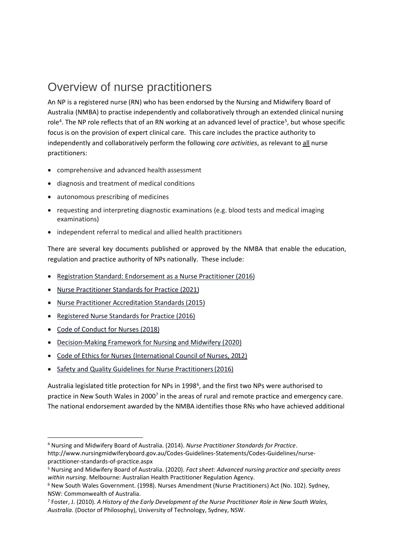### Overview of nurse practitioners

An NP is a registered nurse (RN) who has been endorsed by the Nursing and Midwifery Board of Australia (NMBA) to practise independently and collaboratively through an extended clinical nursing role<sup>4</sup>. The NP role reflects that of an RN working at an advanced level of practice<sup>5</sup>, but whose specific focus is on the provision of expert clinical care. This care includes the practice authority to independently and collaboratively perform the following *core activities*, as relevant to all nurse practitioners:

- comprehensive and advanced health assessment
- diagnosis and treatment of medical conditions
- autonomous prescribing of medicines
- requesting and interpreting diagnostic examinations (e.g. blood tests and medical imaging examinations)
- independent referral to medical and allied health practitioners

There are several key documents published or approved by the NMBA that enable the education, regulation and practice authority of NPs nationally. These include:

- [Registration Standard: Endorsement as a Nurse Practitioner \(2016\)](https://www.nursingmidwiferyboard.gov.au/Registration-and-Endorsement/Endorsements-Notations.aspx)
- [Nurse Practitioner Standards for Practice \(2021\)](https://www.nursingmidwiferyboard.gov.au/Codes-Guidelines-Statements/Professional-standards.aspx)
- [Nurse Practitioner Accreditation Standards \(2015\)](https://www.anmac.org.au/standards-and-review/nurse-practitioner)
- [Registered Nurse Standards for Practice \(2016\)](https://www.nursingmidwiferyboard.gov.au/Codes-Guidelines-Statements/Professional-standards.aspx)
- [Code of Conduct for Nurses \(2018\)](https://www.nursingmidwiferyboard.gov.au/Codes-Guidelines-Statements/Professional-standards.aspx)
- [Decision-Making Framework for Nursing and Midwifery \(2020\)](https://www.nursingmidwiferyboard.gov.au/codes-guidelines-statements/frameworks.aspx)
- [Code of Ethics for Nurses \(International Council of Nurses, 2012\)](https://www.icn.ch/sites/default/files/inline-files/2012_ICN_Codeofethicsfornurses_%20eng.pdf)
- [Safety and Quality Guidelines for Nurse Practitioners\(2016\)](https://www.nursingmidwiferyboard.gov.au/Codes-Guidelines-Statements/Codes-Guidelines/Safety-and-quality-guidelines-for-nurse-practitioners.aspx)

Australia legislated title protection for NPs in 1998<sup>6</sup>, and the first two NPs were authorised to practice in New South Wales in 2000<sup>7</sup> in the areas of rural and remote practice and emergency care. The national endorsement awarded by the NMBA identifies those RNs who have achieved additional

<sup>4</sup> Nursing and Midwifery Board of Australia. (2014). *Nurse Practitioner Standards for Practice*.

http://www.nursingmidwiferyboard.gov.au/Codes-Guidelines-Statements/Codes-Guidelines/nursepractitioner-standards-of-practice.aspx

<sup>5</sup> Nursing and Midwifery Board of Australia. (2020). *Fact sheet: Advanced nursing practice and specialty areas within nursing*. Melbourne: Australian Health Practitioner Regulation Agency.

<sup>6</sup> New South Wales Government. (1998). Nurses Amendment (Nurse Practitioners) Act (No. 102). Sydney, NSW: Commonwealth of Australia.

<sup>7</sup> Foster, J. (2010). *A History of the Early Development of the Nurse Practitioner Role in New South Wales, Australia*. (Doctor of Philosophy), University of Technology, Sydney, NSW.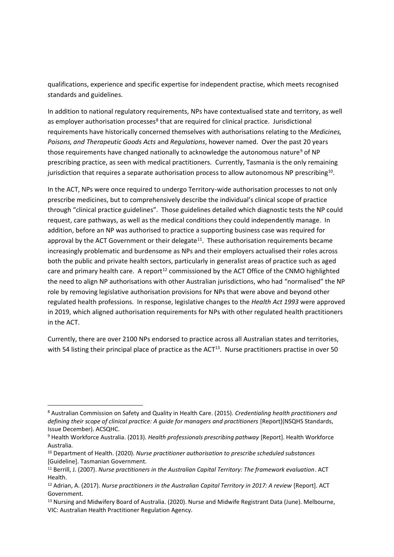qualifications, experience and specific expertise for independent practise, which meets recognised standards and guidelines.

In addition to national regulatory requirements, NPs have contextualised state and territory, as well as employer authorisation processes<sup>8</sup> that are required for clinical practice. Jurisdictional requirements have historically concerned themselves with authorisations relating to the *Medicines, Poisons, and Therapeutic Goods Acts* and *Regulations*, however named. Over the past 20 years those requirements have changed nationally to acknowledge the autonomous nature<sup>9</sup> of NP prescribing practice, as seen with medical practitioners. Currently, Tasmania is the only remaining jurisdiction that requires a separate authorisation process to allow autonomous NP prescribing<sup>10</sup>.

In the ACT, NPs were once required to undergo Territory-wide authorisation processes to not only prescribe medicines, but to comprehensively describe the individual's clinical scope of practice through "clinical practice guidelines". Those guidelines detailed which diagnostic tests the NP could request, care pathways, as well as the medical conditions they could independently manage. In addition, before an NP was authorised to practice a supporting business case was required for approval by the ACT Government or their delegate<sup>11</sup>. These authorisation requirements became increasingly problematic and burdensome as NPs and their employers actualised their roles across both the public and private health sectors, particularly in generalist areas of practice such as aged care and primary health care. A report<sup>12</sup> commissioned by the ACT Office of the CNMO highlighted the need to align NP authorisations with other Australian jurisdictions, who had "normalised" the NP role by removing legislative authorisation provisions for NPs that were above and beyond other regulated health professions. In response, legislative changes to the *Health Act 1993* were approved in 2019, which aligned authorisation requirements for NPs with other regulated health practitioners in the ACT.

Currently, there are over 2100 NPs endorsed to practice across all Australian states and territories, with 54 listing their principal place of practice as the ACT<sup>13</sup>. Nurse practitioners practise in over 50

<sup>8</sup> Australian Commission on Safety and Quality in Health Care. (2015). *Credentialing health practitioners and defining their scope of clinical practice: A guide for managers and practitioners* [Report](NSQHS Standards, Issue December). ACSQHC.

<sup>9</sup> Health Workforce Australia. (2013). *Health professionals prescribing pathway* [Report]. Health Workforce Australia.

<sup>10</sup> Department of Health. (2020). *Nurse practitioner authorisation to prescribe scheduled substances* [Guideline]. Tasmanian Government.

<sup>11</sup> Berrill, J. (2007). *Nurse practitioners in the Australian Capital Territory: The framework evaluation*. ACT Health.

<sup>12</sup> Adrian, A. (2017). *Nurse practitioners in the Australian Capital Territory in 2017: A review* [Report]. ACT Government.

<sup>13</sup> Nursing and Midwifery Board of Australia. (2020). Nurse and Midwife Registrant Data (June). Melbourne, VIC: Australian Health Practitioner Regulation Agency.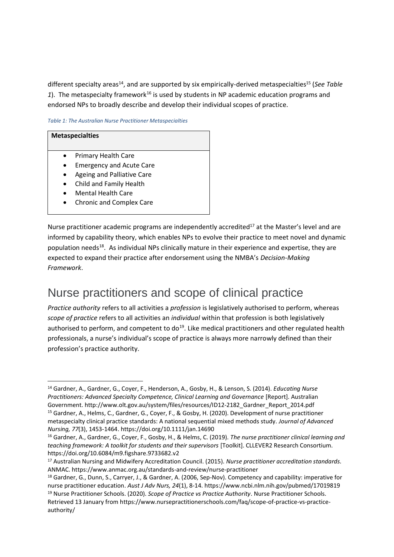different specialty areas<sup>14</sup>, and are supported by six empirically-derived metaspecialties<sup>15</sup> (*See Table* 1). The metaspecialty framework<sup>16</sup> is used by students in NP academic education programs and endorsed NPs to broadly describe and develop their individual scopes of practice.

#### *Table 1: The Australian Nurse Practitioner Metaspecialties*

## **Metaspecialties** • Primary Health Care

- Emergency and Acute Care
- Ageing and Palliative Care
- Child and Family Health
- Mental Health Care
- Chronic and Complex Care

Nurse practitioner academic programs are independently accredited<sup>17</sup> at the Master's level and are informed by capability theory, which enables NPs to evolve their practice to meet novel and dynamic population needs<sup>18</sup>. As individual NPs clinically mature in their experience and expertise, they are expected to expand their practice after endorsement using the NMBA's *Decision-Making Framework*.

### Nurse practitioners and scope of clinical practice

*Practice authority* refers to all activities a *profession* is legislatively authorised to perform, whereas *scope of practice* refers to all activities an *individual* within that profession is both legislatively authorised to perform, and competent to  $do^{19}$ . Like medical practitioners and other regulated health professionals, a nurse's individual's scope of practice is always more narrowly defined than their profession's practice authority.

<sup>14</sup> Gardner, A., Gardner, G., Coyer, F., Henderson, A., Gosby, H., & Lenson, S. (2014). *Educating Nurse Practitioners: Advanced Specialty Competence, Clinical Learning and Governance* [Report]. Australian Government. http://www.olt.gov.au/system/files/resources/ID12-2182\_Gardner\_Report\_2014.pdf <sup>15</sup> Gardner, A., Helms, C., Gardner, G., Coyer, F., & Gosby, H. (2020). Development of nurse practitioner metaspecialty clinical practice standards: A national sequential mixed methods study. *Journal of Advanced Nursing, 77*(3), 1453-1464. https://doi.org/10.1111/jan.14690

<sup>16</sup> Gardner, A., Gardner, G., Coyer, F., Gosby, H., & Helms, C. (2019). *The nurse practitioner clinical learning and teaching framework: A toolkit for students and their supervisors* [Toolkit]. CLLEVER2 Research Consortium. https://doi.org/10.6084/m9.figshare.9733682.v2

<sup>17</sup> Australian Nursing and Midwifery Accreditation Council. (2015). *Nurse practitioner accreditation standards.*  ANMAC. https://www.anmac.org.au/standards-and-review/nurse-practitioner

<sup>18</sup> Gardner, G., Dunn, S., Carryer, J., & Gardner, A. (2006, Sep-Nov). Competency and capability: imperative for nurse practitioner education. *Aust J Adv Nurs, 24*(1), 8-14. https://www.ncbi.nlm.nih.gov/pubmed/17019819 <sup>19</sup> Nurse Practitioner Schools. (2020). *Scope of Practice vs Practice Authority*. Nurse Practitioner Schools.

Retrieved 13 January from https://www.nursepractitionerschools.com/faq/scope-of-practice-vs-practiceauthority/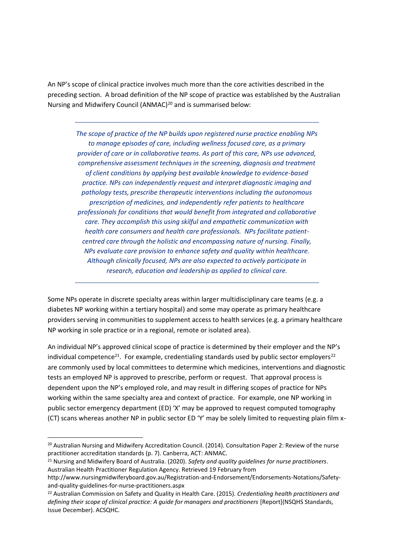An NP's scope of clinical practice involves much more than the core activities described in the preceding section. A broad definition of the NP scope of practice was established by the Australian Nursing and Midwifery Council (ANMAC)<sup>20</sup> and is summarised below:

*The scope of practice of the NP builds upon registered nurse practice enabling NPs to manage episodes of care, including wellness focused care, as a primary provider of care or in collaborative teams. As part of this care, NPs use advanced, comprehensive assessment techniques in the screening, diagnosis and treatment of client conditions by applying best available knowledge to evidence-based practice. NPs can independently request and interpret diagnostic imaging and pathology tests, prescribe therapeutic interventions including the autonomous prescription of medicines, and independently refer patients to healthcare professionals for conditions that would benefit from integrated and collaborative care. They accomplish this using skilful and empathetic communication with health care consumers and health care professionals. NPs facilitate patientcentred care through the holistic and encompassing nature of nursing. Finally, NPs evaluate care provision to enhance safety and quality within healthcare. Although clinically focused, NPs are also expected to actively participate in research, education and leadership as applied to clinical care.* 

Some NPs operate in discrete specialty areas within larger multidisciplinary care teams (e.g. a diabetes NP working within a tertiary hospital) and some may operate as primary healthcare providers serving in communities to supplement access to health services (e.g. a primary healthcare NP working in sole practice or in a regional, remote or isolated area).

An individual NP's approved clinical scope of practice is determined by their employer and the NP's individual competence<sup>21</sup>. For example, credentialing standards used by public sector employers<sup>22</sup> are commonly used by local committees to determine which medicines, interventions and diagnostic tests an employed NP is approved to prescribe, perform or request. That approval process is dependent upon the NP's employed role, and may result in differing scopes of practice for NPs working within the same specialty area and context of practice. For example, one NP working in public sector emergency department (ED) 'X' may be approved to request computed tomography (CT) scans whereas another NP in public sector ED 'Y' may be solely limited to requesting plain film x-

<sup>&</sup>lt;sup>20</sup> Australian Nursing and Midwifery Accreditation Council. (2014). Consultation Paper 2: Review of the nurse practitioner accreditation standards (p. 7). Canberra, ACT: ANMAC.

<sup>21</sup> Nursing and Midwifery Board of Australia. (2020). *Safety and quality guidelines for nurse practitioners*. Australian Health Practitioner Regulation Agency. Retrieved 19 February from

http://www.nursingmidwiferyboard.gov.au/Registration-and-Endorsement/Endorsements-Notations/Safetyand-quality-guidelines-for-nurse-practitioners.aspx

<sup>22</sup> Australian Commission on Safety and Quality in Health Care. (2015). *Credentialing health practitioners and defining their scope of clinical practice: A guide for managers and practitioners* [Report](NSQHS Standards, Issue December). ACSQHC.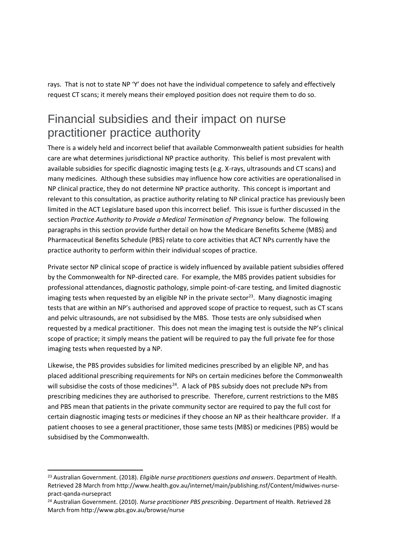rays. That is not to state NP 'Y' does not have the individual competence to safely and effectively request CT scans; it merely means their employed position does not require them to do so.

#### Financial subsidies and their impact on nurse practitioner practice authority

There is a widely held and incorrect belief that available Commonwealth patient subsidies for health care are what determines jurisdictional NP practice authority. This belief is most prevalent with available subsidies for specific diagnostic imaging tests (e.g. X-rays, ultrasounds and CT scans) and many medicines. Although these subsidies may influence how core activities are operationalised in NP clinical practice, they do not determine NP practice authority. This concept is important and relevant to this consultation, as practice authority relating to NP clinical practice has previously been limited in the ACT Legislature based upon this incorrect belief. This issue is further discussed in the section *Practice Authority to Provide a Medical Termination of Pregnancy* below. The following paragraphs in this section provide further detail on how the Medicare Benefits Scheme (MBS) and Pharmaceutical Benefits Schedule (PBS) relate to core activities that ACT NPs currently have the practice authority to perform within their individual scopes of practice.

Private sector NP clinical scope of practice is widely influenced by available patient subsidies offered by the Commonwealth for NP-directed care. For example, the MBS provides patient subsidies for professional attendances, diagnostic pathology, simple point-of-care testing, and limited diagnostic imaging tests when requested by an eligible NP in the private sector<sup>23</sup>. Many diagnostic imaging tests that are within an NP's authorised and approved scope of practice to request, such as CT scans and pelvic ultrasounds, are not subsidised by the MBS. Those tests are only subsidised when requested by a medical practitioner. This does not mean the imaging test is outside the NP's clinical scope of practice; it simply means the patient will be required to pay the full private fee for those imaging tests when requested by a NP.

Likewise, the PBS provides subsidies for limited medicines prescribed by an eligible NP, and has placed additional prescribing requirements for NPs on certain medicines before the Commonwealth will subsidise the costs of those medicines<sup>24</sup>. A lack of PBS subsidy does not preclude NPs from prescribing medicines they are authorised to prescribe. Therefore, current restrictions to the MBS and PBS mean that patients in the private community sector are required to pay the full cost for certain diagnostic imaging tests or medicines if they choose an NP as their healthcare provider. If a patient chooses to see a general practitioner, those same tests (MBS) or medicines (PBS) would be subsidised by the Commonwealth.

<sup>23</sup> Australian Government. (2018). *Eligible nurse practitioners questions and answers*. Department of Health. Retrieved 28 March from http://www.health.gov.au/internet/main/publishing.nsf/Content/midwives-nursepract-qanda-nursepract

<sup>24</sup> Australian Government. (2010). *Nurse practitioner PBS prescribing*. Department of Health. Retrieved 28 March from http://www.pbs.gov.au/browse/nurse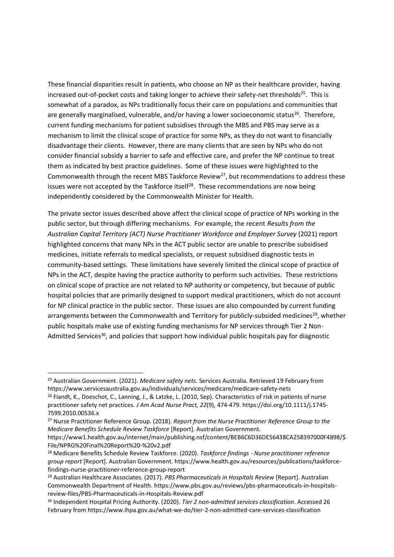These financial disparities result in patients, who choose an NP as their healthcare provider, having increased out-of-pocket costs and taking longer to achieve their safety-net thresholds<sup>25</sup>. This is somewhat of a paradox, as NPs traditionally focus their care on populations and communities that are generally marginalised, vulnerable, and/or having a lower socioeconomic status<sup>26</sup>. Therefore, current funding mechanisms for patient subsidises through the MBS and PBS may serve as a mechanism to limit the clinical scope of practice for some NPs, as they do not want to financially disadvantage their clients. However, there are many clients that are seen by NPs who do not consider financial subsidy a barrier to safe and effective care, and prefer the NP continue to treat them as indicated by best practice guidelines. Some of these issues were highlighted to the Commonwealth through the recent MBS Taskforce Review<sup>27</sup>, but recommendations to address these issues were not accepted by the Taskforce itself $^{28}$ . These recommendations are now being independently considered by the Commonwealth Minister for Health.

The private sector issues described above affect the clinical scope of practice of NPs working in the public sector, but through differing mechanisms. For example, the recent *Results from the Australian Capital Territory (ACT) Nurse Practitioner Workforce and Employer Survey* (2021) report highlighted concerns that many NPs in the ACT public sector are unable to prescribe subsidised medicines, initiate referrals to medical specialists, or request subsidised diagnostic tests in community-based settings. These limitations have severely limited the clinical scope of practice of NPs in the ACT, despite having the practice authority to perform such activities. These restrictions on clinical scope of practice are not related to NP authority or competency, but because of public hospital policies that are primarily designed to support medical practitioners, which do not account for NP clinical practice in the public sector. These issues are also compounded by current funding arrangements between the Commonwealth and Territory for publicly-subsided medicines<sup>29</sup>, whether public hospitals make use of existing funding mechanisms for NP services through Tier 2 Non-Admitted Services<sup>30</sup>, and policies that support how individual public hospitals pay for diagnostic

<sup>25</sup> Australian Government. (2021). *Medicare safety nets.* Services Australia. Retrieved 19 February from https://www.servicesaustralia.gov.au/individuals/services/medicare/medicare-safety-nets

<sup>&</sup>lt;sup>26</sup> Fiandt, K., Doeschot, C., Lanning, J., & Latzke, L. (2010, Sep). Characteristics of risk in patients of nurse practitioner safety net practices*. J Am Acad Nurse Pract, 22*(9), 474-479. https://doi.org/10.1111/j.1745- 7599.2010.00536.x

<sup>27</sup> Nurse Practitioner Reference Group. (2018). *Report from the Nurse Practitioner Reference Group to the Medicare Benefits Schedule Review Taskforce* [Report]. Australian Government.

https://www1.health.gov.au/internet/main/publishing.nsf/content/BEB6C6D36DE56438CA258397000F4898/\$ File/NPRG%20Final%20Report%20-%20v2.pdf

<sup>28</sup> Medicare Benefits Schedule Review Taskforce. (2020). *Taskforce findings - Nurse practitioner reference group report* [Report]. Australian Government. https://www.health.gov.au/resources/publications/taskforcefindings-nurse-practitioner-reference-group-report

<sup>29</sup> Australian Healthcare Associates. (2017). *PBS Pharmaceuticals in Hospitals Review* [Report]. Australian Commonwealth Department of Health. https://www.pbs.gov.au/reviews/pbs-pharmaceuticals-in-hospitalsreview-files/PBS-Pharmaceuticals-in-Hospitals-Review.pdf

<sup>30</sup> Independent Hospital Pricing Authority. (2020). *Tier 2 non-admitted services classification*. Accessed 26 February from https://www.ihpa.gov.au/what-we-do/tier-2-non-admitted-care-services-classification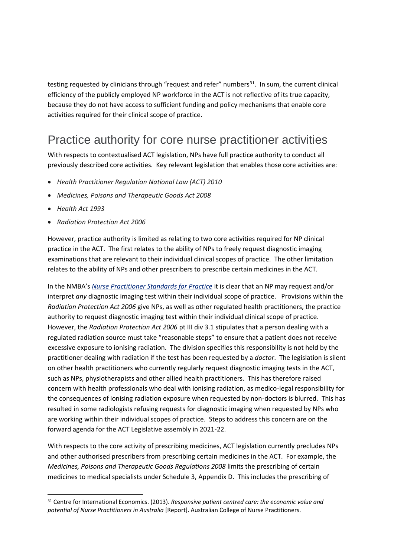testing requested by clinicians through "request and refer" numbers $^{31}$ . In sum, the current clinical efficiency of the publicly employed NP workforce in the ACT is not reflective of its true capacity, because they do not have access to sufficient funding and policy mechanisms that enable core activities required for their clinical scope of practice.

### Practice authority for core nurse practitioner activities

With respects to contextualised ACT legislation, NPs have full practice authority to conduct all previously described core activities. Key relevant legislation that enables those core activities are:

- *Health Practitioner Regulation National Law (ACT) 2010*
- *Medicines, Poisons and Therapeutic Goods Act 2008*
- *Health Act 1993*
- *Radiation Protection Act 2006*

However, practice authority is limited as relating to two core activities required for NP clinical practice in the ACT. The first relates to the ability of NPs to freely request diagnostic imaging examinations that are relevant to their individual clinical scopes of practice. The other limitation relates to the ability of NPs and other prescribers to prescribe certain medicines in the ACT.

In the NMBA's *[Nurse Practitioner Standards for Practice](https://www.nursingmidwiferyboard.gov.au/Codes-Guidelines-Statements/Professional-standards/nurse-practitioner-standards-of-practice.aspx)* it is clear that an NP may request and/or interpret *any* diagnostic imaging test within their individual scope of practice. Provisions within the *Radiation Protection Act 2006* give NPs, as well as other regulated health practitioners, the practice authority to request diagnostic imaging test within their individual clinical scope of practice. However, the *Radiation Protection Act 2006* pt III div 3.1 stipulates that a person dealing with a regulated radiation source must take "reasonable steps" to ensure that a patient does not receive excessive exposure to ionising radiation. The division specifies this responsibility is not held by the practitioner dealing with radiation if the test has been requested by a *doctor*. The legislation is silent on other health practitioners who currently regularly request diagnostic imaging tests in the ACT, such as NPs, physiotherapists and other allied health practitioners. This has therefore raised concern with health professionals who deal with ionising radiation, as medico-legal responsibility for the consequences of ionising radiation exposure when requested by non-doctors is blurred. This has resulted in some radiologists refusing requests for diagnostic imaging when requested by NPs who are working within their individual scopes of practice. Steps to address this concern are on the forward agenda for the ACT Legislative assembly in 2021-22.

With respects to the core activity of prescribing medicines, ACT legislation currently precludes NPs and other authorised prescribers from prescribing certain medicines in the ACT. For example, the *Medicines, Poisons and Therapeutic Goods Regulations 2008* limits the prescribing of certain medicines to medical specialists under Schedule 3, Appendix D. This includes the prescribing of

<sup>31</sup> Centre for International Economics. (2013). *Responsive patient centred care: the economic value and potential of Nurse Practitioners in Australia* [Report]. Australian College of Nurse Practitioners.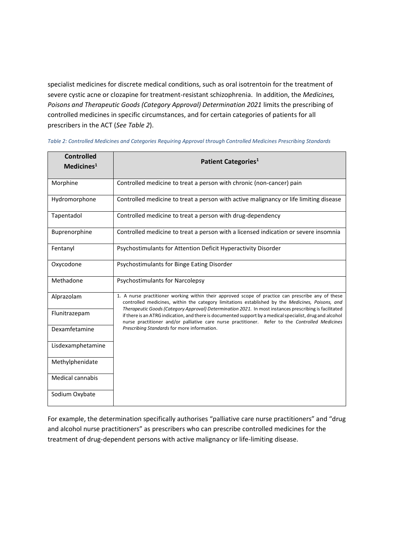specialist medicines for discrete medical conditions, such as oral isotrentoin for the treatment of severe cystic acne or clozapine for treatment-resistant schizophrenia. In addition, the *Medicines, Poisons and Therapeutic Goods (Category Approval) Determination 2021* limits the prescribing of controlled medicines in specific circumstances, and for certain categories of patients for all prescribers in the ACT (*See Table 2*).

| <b>Controlled</b><br>Medicines <sup>1</sup> | Patient Categories <sup>1</sup>                                                                                                                                                                                                                                                                                                                                                                                                                                                                                                                                                 |  |
|---------------------------------------------|---------------------------------------------------------------------------------------------------------------------------------------------------------------------------------------------------------------------------------------------------------------------------------------------------------------------------------------------------------------------------------------------------------------------------------------------------------------------------------------------------------------------------------------------------------------------------------|--|
|                                             |                                                                                                                                                                                                                                                                                                                                                                                                                                                                                                                                                                                 |  |
| Morphine                                    | Controlled medicine to treat a person with chronic (non-cancer) pain                                                                                                                                                                                                                                                                                                                                                                                                                                                                                                            |  |
| Hydromorphone                               | Controlled medicine to treat a person with active malignancy or life limiting disease                                                                                                                                                                                                                                                                                                                                                                                                                                                                                           |  |
| Tapentadol                                  | Controlled medicine to treat a person with drug-dependency                                                                                                                                                                                                                                                                                                                                                                                                                                                                                                                      |  |
| Buprenorphine                               | Controlled medicine to treat a person with a licensed indication or severe insomnia                                                                                                                                                                                                                                                                                                                                                                                                                                                                                             |  |
| Fentanyl                                    | Psychostimulants for Attention Deficit Hyperactivity Disorder                                                                                                                                                                                                                                                                                                                                                                                                                                                                                                                   |  |
| Oxycodone                                   | Psychostimulants for Binge Eating Disorder                                                                                                                                                                                                                                                                                                                                                                                                                                                                                                                                      |  |
| Methadone                                   | <b>Psychostimulants for Narcolepsy</b>                                                                                                                                                                                                                                                                                                                                                                                                                                                                                                                                          |  |
| Alprazolam                                  | 1. A nurse practitioner working within their approved scope of practice can prescribe any of these<br>controlled medicines, within the category limitations established by the Medicines, Poisons, and<br>Therapeutic Goods (Category Approval) Determination 2021. In most instances prescribing is facilitated<br>if there is an ATRG indication, and there is documented support by a medical specialist, drug and alcohol<br>nurse practitioner and/or palliative care nurse practitioner. Refer to the Controlled Medicines<br>Prescribing Standards for more information. |  |
| Flunitrazepam                               |                                                                                                                                                                                                                                                                                                                                                                                                                                                                                                                                                                                 |  |
| Dexamfetamine                               |                                                                                                                                                                                                                                                                                                                                                                                                                                                                                                                                                                                 |  |
| Lisdexamphetamine                           |                                                                                                                                                                                                                                                                                                                                                                                                                                                                                                                                                                                 |  |
| Methylphenidate                             |                                                                                                                                                                                                                                                                                                                                                                                                                                                                                                                                                                                 |  |
| Medical cannabis                            |                                                                                                                                                                                                                                                                                                                                                                                                                                                                                                                                                                                 |  |
| Sodium Oxybate                              |                                                                                                                                                                                                                                                                                                                                                                                                                                                                                                                                                                                 |  |

*Table 2: Controlled Medicines and Categories Requiring Approval through Controlled Medicines Prescribing Standards*

For example, the determination specifically authorises "palliative care nurse practitioners" and "drug and alcohol nurse practitioners" as prescribers who can prescribe controlled medicines for the treatment of drug-dependent persons with active malignancy or life-limiting disease.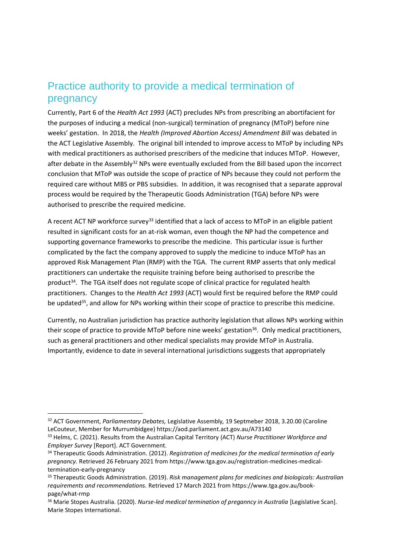#### Practice authority to provide a medical termination of pregnancy

Currently, Part 6 of the *Health Act 1993* (ACT) precludes NPs from prescribing an abortifacient for the purposes of inducing a medical (non-surgical) termination of pregnancy (MToP) before nine weeks' gestation. In 2018, the *Health (Improved Abortion Access) Amendment Bill* was debated in the ACT Legislative Assembly. The original bill intended to improve access to MToP by including NPs with medical practitioners as authorised prescribers of the medicine that induces MToP. However, after debate in the Assembly<sup>32</sup> NPs were eventually excluded from the Bill based upon the incorrect conclusion that MToP was outside the scope of practice of NPs because they could not perform the required care without MBS or PBS subsidies. In addition, it was recognised that a separate approval process would be required by the Therapeutic Goods Administration (TGA) before NPs were authorised to prescribe the required medicine.

A recent ACT NP workforce survey<sup>33</sup> identified that a lack of access to MToP in an eligible patient resulted in significant costs for an at-risk woman, even though the NP had the competence and supporting governance frameworks to prescribe the medicine. This particular issue is further complicated by the fact the company approved to supply the medicine to induce MToP has an approved Risk Management Plan (RMP) with the TGA. The current RMP asserts that only medical practitioners can undertake the requisite training before being authorised to prescribe the product<sup>34</sup>. The TGA itself does not regulate scope of clinical practice for regulated health practitioners. Changes to the *Health Act 1993* (ACT) would first be required before the RMP could be updated<sup>35</sup>, and allow for NPs working within their scope of practice to prescribe this medicine.

Currently, no Australian jurisdiction has practice authority legislation that allows NPs working within their scope of practice to provide MToP before nine weeks' gestation<sup>36</sup>. Only medical practitioners, such as general practitioners and other medical specialists may provide MToP in Australia. Importantly, evidence to date in several international jurisdictions suggests that appropriately

<sup>32</sup> ACT Government, *Parliamentary Debates,* Legislative Assembly*,* 19 Septmeber 2018, 3.20.00 (Caroline LeCouteur, Member for Murrumbidgee) https://aod.parliament.act.gov.au/A73140

<sup>33</sup> Helms, C. (2021). Results from the Australian Capital Territory (ACT) *Nurse Practitioner Workforce and Employer Survey* [Report]. ACT Government.

<sup>34</sup> Therapeutic Goods Administration. (2012). *Registration of medicines for the medical termination of early pregnancy.* Retrieved 26 February 2021 from https://www.tga.gov.au/registration-medicines-medicaltermination-early-pregnancy

<sup>35</sup> Therapeutic Goods Administration. (2019). *Risk management plans for medicines and biologicals: Australian requirements and recommendations.* Retrieved 17 March 2021 from https://www.tga.gov.au/bookpage/what-rmp

<sup>36</sup> Marie Stopes Australia. (2020). *Nurse-led medical termination of preganncy in Australia* [Legislative Scan]. Marie Stopes International.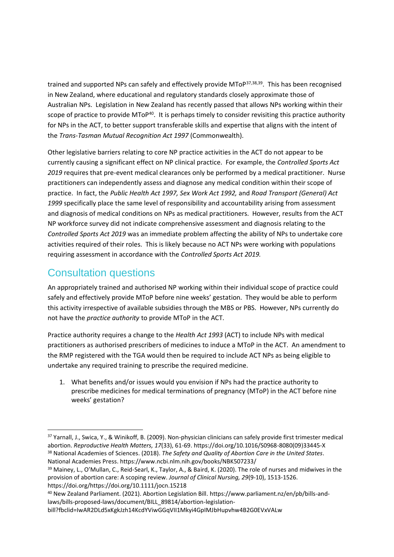trained and supported NPs can safely and effectively provide MToP<sup>37,38,39</sup>. This has been recognised in New Zealand, where educational and regulatory standards closely approximate those of Australian NPs. Legislation in New Zealand has recently passed that allows NPs working within their scope of practice to provide MToP $40$ . It is perhaps timely to consider revisiting this practice authority for NPs in the ACT, to better support transferable skills and expertise that aligns with the intent of the *Trans-Tasman Mutual Recognition Act 1997* (Commonwealth).

Other legislative barriers relating to core NP practice activities in the ACT do not appear to be currently causing a significant effect on NP clinical practice. For example, the *Controlled Sports Act 2019* requires that pre-event medical clearances only be performed by a medical practitioner. Nurse practitioners can independently assess and diagnose any medical condition within their scope of practice. In fact, the *Public Health Act 1997, Sex Work Act 1992,* and *Road Transport (General) Act 1999* specifically place the same level of responsibility and accountability arising from assessment and diagnosis of medical conditions on NPs as medical practitioners. However, results from the ACT NP workforce survey did not indicate comprehensive assessment and diagnosis relating to the *Controlled Sports Act 2019* was an immediate problem affecting the ability of NPs to undertake core activities required of their roles. This is likely because no ACT NPs were working with populations requiring assessment in accordance with the *Controlled Sports Act 2019.*

#### Consultation questions

An appropriately trained and authorised NP working within their individual scope of practice could safely and effectively provide MToP before nine weeks' gestation. They would be able to perform this activity irrespective of available subsidies through the MBS or PBS. However, NPs currently do not have the *practice authority* to provide MToP in the ACT.

Practice authority requires a change to the *Health Act 1993* (ACT) to include NPs with medical practitioners as authorised prescribers of medicines to induce a MToP in the ACT. An amendment to the RMP registered with the TGA would then be required to include ACT NPs as being eligible to undertake any required training to prescribe the required medicine.

1. What benefits and/or issues would you envision if NPs had the practice authority to prescribe medicines for medical terminations of pregnancy (MToP) in the ACT before nine weeks' gestation?

<sup>37</sup> Yarnall, J., Swica, Y., & Winikoff, B. (2009). Non-physician clinicians can safely provide first trimester medical abortion. *Reproductive Health Matters, 17*(33), 61-69. https://doi.org/10.1016/S0968-8080(09)33445-X <sup>38</sup> National Academies of Sciences. (2018). *The Safety and Quality of Abortion Care in the United States*. National Academies Press. https://www.ncbi.nlm.nih.gov/books/NBK507233/

<sup>&</sup>lt;sup>39</sup> Mainey, L., O'Mullan, C., Reid-Searl, K., Taylor, A., & Baird, K. (2020). The role of nurses and midwives in the provision of abortion care: A scoping review. *Journal of Clinical Nursing, 29*(9-10), 1513-1526. https://doi.org/https://doi.org/10.1111/jocn.15218

<sup>40</sup> New Zealand Parliament. (2021). Abortion Legislation Bill. https://www.parliament.nz/en/pb/bills-andlaws/bills-proposed-laws/document/BILL\_89814/abortion-legislation-

bill?fbclid=IwAR2DLd5xKgkJzh14KcdYViwGGqVII1Mkyi4GpIMJbHupvhw4B2G0EVxVALw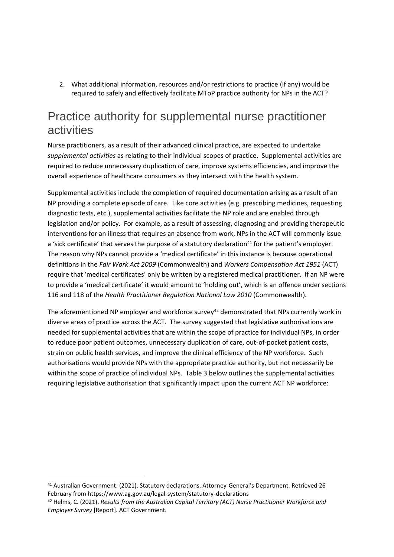2. What additional information, resources and/or restrictions to practice (if any) would be required to safely and effectively facilitate MToP practice authority for NPs in the ACT?

### Practice authority for supplemental nurse practitioner activities

Nurse practitioners, as a result of their advanced clinical practice, are expected to undertake *supplemental activities* as relating to their individual scopes of practice. Supplemental activities are required to reduce unnecessary duplication of care, improve systems efficiencies, and improve the overall experience of healthcare consumers as they intersect with the health system.

Supplemental activities include the completion of required documentation arising as a result of an NP providing a complete episode of care. Like core activities (e.g. prescribing medicines, requesting diagnostic tests, etc.), supplemental activities facilitate the NP role and are enabled through legislation and/or policy. For example, as a result of assessing, diagnosing and providing therapeutic interventions for an illness that requires an absence from work, NPs in the ACT will commonly issue a 'sick certificate' that serves the purpose of a statutory declaration<sup>41</sup> for the patient's employer. The reason why NPs cannot provide a 'medical certificate' in this instance is because operational definitions in the *Fair Work Act 2009* (Commonwealth) and *Workers Compensation Act 1951* (ACT) require that 'medical certificates' only be written by a registered medical practitioner. If an NP were to provide a 'medical certificate' it would amount to 'holding out', which is an offence under sections 116 and 118 of the *Health Practitioner Regulation National Law 2010* (Commonwealth).

The aforementioned NP employer and workforce survey<sup>42</sup> demonstrated that NPs currently work in diverse areas of practice across the ACT. The survey suggested that legislative authorisations are needed for supplemental activities that are within the scope of practice for individual NPs, in order to reduce poor patient outcomes, unnecessary duplication of care, out-of-pocket patient costs, strain on public health services, and improve the clinical efficiency of the NP workforce. Such authorisations would provide NPs with the appropriate practice authority, but not necessarily be within the scope of practice of individual NPs. Table 3 below outlines the supplemental activities requiring legislative authorisation that significantly impact upon the current ACT NP workforce:

<sup>41</sup> Australian Government. (2021). Statutory declarations. Attorney-General's Department. Retrieved 26 February from https://www.ag.gov.au/legal-system/statutory-declarations

<sup>42</sup> Helms, C. (2021). *Results from the Australian Capital Territory (ACT) Nurse Practitioner Workforce and Employer Survey* [Report]. ACT Government.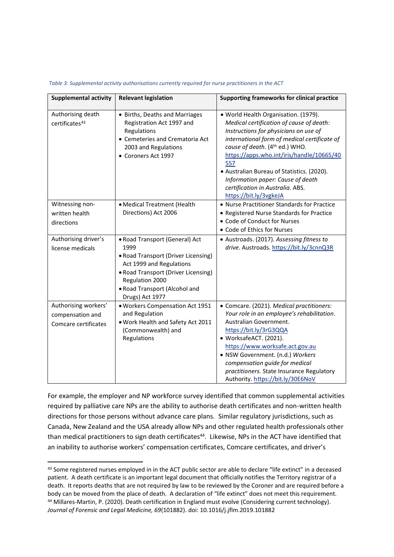| Supplemental activity                                            | <b>Relevant legislation</b>                                                                                                                                                                                             | Supporting frameworks for clinical practice                                                                                                                                                                                                                                                                                                                                                                      |
|------------------------------------------------------------------|-------------------------------------------------------------------------------------------------------------------------------------------------------------------------------------------------------------------------|------------------------------------------------------------------------------------------------------------------------------------------------------------------------------------------------------------------------------------------------------------------------------------------------------------------------------------------------------------------------------------------------------------------|
| Authorising death<br>certificates <sup>43</sup>                  | • Births, Deaths and Marriages<br>Registration Act 1997 and<br>Regulations<br>• Cemeteries and Crematoria Act<br>2003 and Regulations<br>• Coroners Act 1997                                                            | · World Health Organisation. (1979).<br>Medical certification of cause of death:<br>Instructions for physicians on use of<br>international form of medical certificate of<br>cause of death. (4th ed.) WHO.<br>https://apps.who.int/iris/handle/10665/40<br>557<br>• Australian Bureau of Statistics. (2020).<br>Information paper: Cause of death<br>certification in Australia. ABS.<br>https://bit.ly/3vgkeJA |
| Witnessing non-<br>written health<br>directions                  | • Medical Treatment (Health<br>Directions) Act 2006                                                                                                                                                                     | • Nurse Practitioner Standards for Practice<br>• Registered Nurse Standards for Practice<br>• Code of Conduct for Nurses<br>• Code of Ethics for Nurses                                                                                                                                                                                                                                                          |
| Authorising driver's<br>license medicals                         | • Road Transport (General) Act<br>1999<br>• Road Transport (Driver Licensing)<br>Act 1999 and Regulations<br>• Road Transport (Driver Licensing)<br>Regulation 2000<br>. Road Transport (Alcohol and<br>Drugs) Act 1977 | • Austroads. (2017). Assessing fitness to<br>drive. Austroads. https://bit.ly/3cnnQ3R                                                                                                                                                                                                                                                                                                                            |
| Authorising workers'<br>compensation and<br>Comcare certificates | · Workers Compensation Act 1951<br>and Regulation<br>. Work Health and Safety Act 2011<br>(Commonwealth) and<br>Regulations                                                                                             | • Comcare. (2021). Medical practitioners:<br>Your role in an employee's rehabilitation.<br>Australian Government.<br>https://bit.ly/3rG3QQA<br>· WorksafeACT. (2021).<br>https://www.worksafe.act.gov.au<br>· NSW Government. (n.d.) Workers<br>compensation guide for medical<br>practitioners. State Insurance Regulatory<br>Authority. https://bit.ly/30E6NoV                                                 |

*Table 3: Supplemental activity authorisations currently required for nurse practitioners in the ACT*

For example, the employer and NP workforce survey identified that common supplemental activities required by palliative care NPs are the ability to authorise death certificates and non-written health directions for those persons without advance care plans. Similar regulatory jurisdictions, such as Canada, New Zealand and the USA already allow NPs and other regulated health professionals other than medical practitioners to sign death certificates<sup>44</sup>. Likewise, NPs in the ACT have identified that an inability to authorise workers' compensation certificates, Comcare certificates, and driver's

<sup>43</sup> Some registered nurses employed in in the ACT public sector are able to declare "life extinct" in a deceased patient. A death certificate is an important legal document that officially notifies the Territory registrar of a death. It reports deaths that are not required by law to be reviewed by the Coroner and are required before a body can be moved from the place of death. A declaration of "life extinct" does not meet this requirement. <sup>44</sup> Millares-Martin, P. (2020). Death certification in England must evolve (Considering current technology). *Journal of Forensic and Legal Medicine, 69*(101882). doi: 10.1016/j.jflm.2019.101882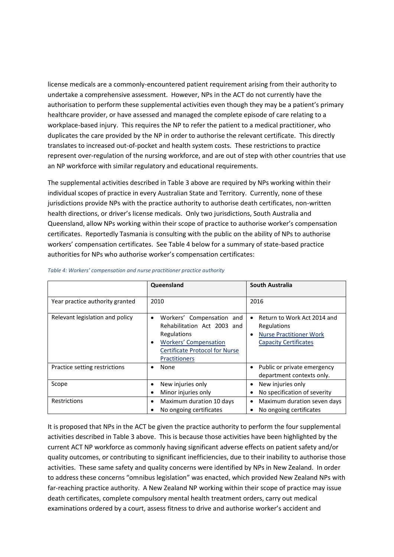license medicals are a commonly-encountered patient requirement arising from their authority to undertake a comprehensive assessment. However, NPs in the ACT do not currently have the authorisation to perform these supplemental activities even though they may be a patient's primary healthcare provider, or have assessed and managed the complete episode of care relating to a workplace-based injury. This requires the NP to refer the patient to a medical practitioner, who duplicates the care provided by the NP in order to authorise the relevant certificate. This directly translates to increased out-of-pocket and health system costs. These restrictions to practice represent over-regulation of the nursing workforce, and are out of step with other countries that use an NP workforce with similar regulatory and educational requirements.

The supplemental activities described in Table 3 above are required by NPs working within their individual scopes of practice in every Australian State and Territory. Currently, none of these jurisdictions provide NPs with the practice authority to authorise death certificates, non-written health directions, or driver's license medicals. Only two jurisdictions, South Australia and Queensland, allow NPs working within their scope of practice to authorise worker's compensation certificates. Reportedly Tasmania is consulting with the public on the ability of NPs to authorise workers' compensation certificates. See Table 4 below for a summary of state-based practice authorities for NPs who authorise worker's compensation certificates:

|                                 | Queensland                                                                                                                                                                                 | South Australia                                                                                              |
|---------------------------------|--------------------------------------------------------------------------------------------------------------------------------------------------------------------------------------------|--------------------------------------------------------------------------------------------------------------|
| Year practice authority granted | 2010                                                                                                                                                                                       | 2016                                                                                                         |
| Relevant legislation and policy | Workers' Compensation and<br>$\bullet$<br>Rehabilitation Act 2003 and<br>Regulations<br><b>Workers' Compensation</b><br>٠<br><b>Certificate Protocol for Nurse</b><br><b>Practitioners</b> | Return to Work Act 2014 and<br>Regulations<br><b>Nurse Practitioner Work</b><br><b>Capacity Certificates</b> |
| Practice setting restrictions   | None<br>٠                                                                                                                                                                                  | Public or private emergency<br>department contexts only.                                                     |
| Scope                           | New injuries only<br>٠<br>Minor injuries only<br>٠                                                                                                                                         | New injuries only<br>No specification of severity                                                            |
| Restrictions                    | Maximum duration 10 days<br>No ongoing certificates                                                                                                                                        | Maximum duration seven days<br>No ongoing certificates                                                       |

#### *Table 4: Workers' compensation and nurse practitioner practice authority*

It is proposed that NPs in the ACT be given the practice authority to perform the four supplemental activities described in Table 3 above. This is because those activities have been highlighted by the current ACT NP workforce as commonly having significant adverse effects on patient safety and/or quality outcomes, or contributing to significant inefficiencies, due to their inability to authorise those activities. These same safety and quality concerns were identified by NPs in New Zealand. In order to address these concerns "omnibus legislation" was enacted, which provided New Zealand NPs with far-reaching practice authority. A New Zealand NP working within their scope of practice may issue death certificates, complete compulsory mental health treatment orders, carry out medical examinations ordered by a court, assess fitness to drive and authorise worker's accident and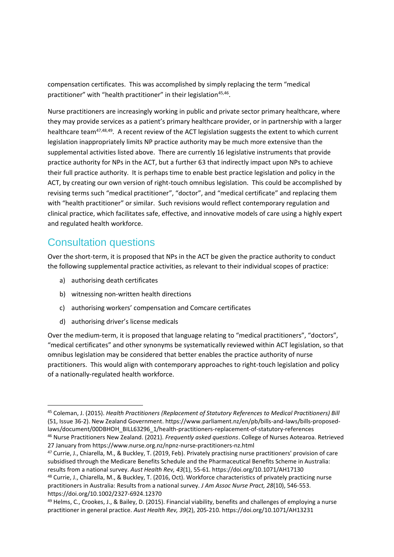compensation certificates. This was accomplished by simply replacing the term "medical practitioner" with "health practitioner" in their legislation<sup>45,46</sup>.

Nurse practitioners are increasingly working in public and private sector primary healthcare, where they may provide services as a patient's primary healthcare provider, or in partnership with a larger healthcare team<sup>47,48,49</sup>. A recent review of the ACT legislation suggests the extent to which current legislation inappropriately limits NP practice authority may be much more extensive than the supplemental activities listed above. There are currently 16 legislative instruments that provide practice authority for NPs in the ACT, but a further 63 that indirectly impact upon NPs to achieve their full practice authority. It is perhaps time to enable best practice legislation and policy in the ACT, by creating our own version of right-touch omnibus legislation. This could be accomplished by revising terms such "medical practitioner", "doctor", and "medical certificate" and replacing them with "health practitioner" or similar. Such revisions would reflect contemporary regulation and clinical practice, which facilitates safe, effective, and innovative models of care using a highly expert and regulated health workforce.

#### Consultation questions

Over the short-term, it is proposed that NPs in the ACT be given the practice authority to conduct the following supplemental practice activities, as relevant to their individual scopes of practice:

- a) authorising death certificates
- b) witnessing non-written health directions
- c) authorising workers' compensation and Comcare certificates
- d) authorising driver's license medicals

Over the medium-term, it is proposed that language relating to "medical practitioners", "doctors", "medical certificates" and other synonyms be systematically reviewed within ACT legislation, so that omnibus legislation may be considered that better enables the practice authority of nurse practitioners. This would align with contemporary approaches to right-touch legislation and policy of a nationally-regulated health workforce.

<sup>45</sup> Coleman, J. (2015). *Health Practitioners (Replacement of Statutory References to Medical Practitioners) Bill* (51, Issue 36-2). New Zealand Government. https://www.parliament.nz/en/pb/bills-and-laws/bills-proposedlaws/document/00DBHOH\_BILL63296\_1/health-practitioners-replacement-of-statutory-references <sup>46</sup> Nurse Practitioners New Zealand. (2021). *Frequently asked questions*. College of Nurses Aotearoa. Retrieved

<sup>27</sup> January from https://www.nurse.org.nz/npnz-nurse-practitioners-nz.html

<sup>47</sup> Currie, J., Chiarella, M., & Buckley, T. (2019, Feb). Privately practising nurse practitioners' provision of care subsidised through the Medicare Benefits Schedule and the Pharmaceutical Benefits Scheme in Australia: results from a national survey. *Aust Health Rev, 43*(1), 55-61. https://doi.org/10.1071/AH17130

<sup>48</sup> Currie, J., Chiarella, M., & Buckley, T. (2016, Oct). Workforce characteristics of privately practicing nurse practitioners in Australia: Results from a national survey. *J Am Assoc Nurse Pract, 28*(10), 546-553. https://doi.org/10.1002/2327-6924.12370

<sup>49</sup> Helms, C., Crookes, J., & Bailey, D. (2015). Financial viability, benefits and challenges of employing a nurse practitioner in general practice. *Aust Health Rev, 39*(2), 205-210. https://doi.org/10.1071/AH13231